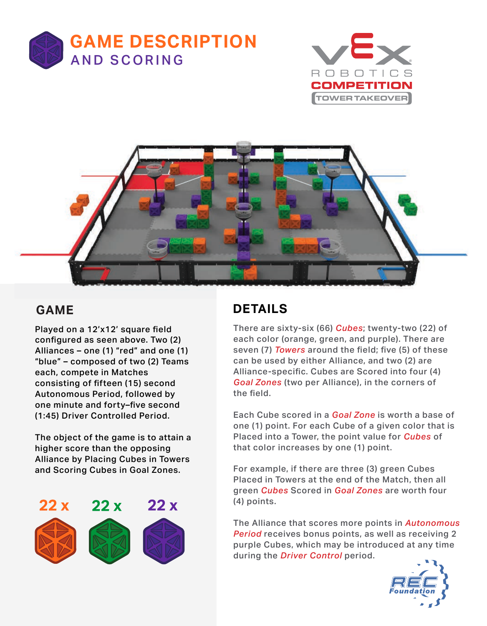





## **GAME**

Played on a 12'x12' square field configured as seen above. Two (2) Alliances – one (1) "red" and one (1) "blue" – composed of two (2) Teams each, compete in Matches consisting of fifteen (15) second Autonomous Period, followed by one minute and forty–five second (1:45) Driver Controlled Period.

The object of the game is to attain a higher score than the opposing Alliance by Placing Cubes in Towers and Scoring Cubes in Goal Zones.



## **DETAILS**

There are sixty-six (66) *Cubes*; twenty-two (22) of each color (orange, green, and purple). There are seven (7) *Towers* around the field; five (5) of these can be used by either Alliance, and two (2) are Alliance-specific. Cubes are Scored into four (4) *Goal Zones* (two per Alliance), in the corners of the field.

Each Cube scored in a *Goal Zone* is worth a base of one (1) point. For each Cube of a given color that is Placed into a Tower, the point value for *Cubes* of that color increases by one (1) point.

For example, if there are three (3) green Cubes Placed in Towers at the end of the Match, then all green *Cubes* Scored in *Goal Zones* are worth four (4) points.

The Alliance that scores more points in *Autonomous Period* receives bonus points, as well as receiving 2 purple Cubes, which may be introduced at any time during the *Driver Control* period.